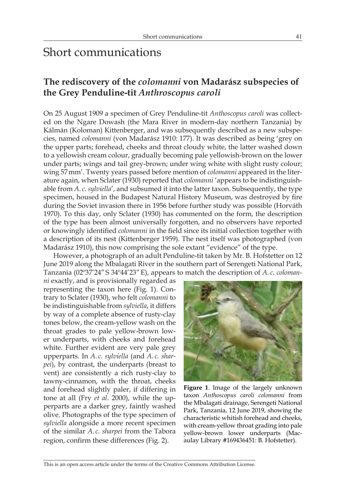# Short communications

# **The rediscovery of the** *colomanni* **von Madarász subspecies of the Grey Penduline-tit** *Anthroscopus caroli*

On 25 August 1909 a specimen of Grey Penduline-tit *Anthoscopus caroli* was collected on the Ngare Dowash (the Mara River in modern-day northern Tanzania) by Kálmán (Koloman) Kittenberger, and was subsequently described as a new subspecies, named *colomanni* (von Madarász 1910: 177). It was described as being 'grey on the upper parts; forehead, cheeks and throat cloudy white, the latter washed down to a yellowish cream colour, gradually becoming pale yellowish-brown on the lower under parts; wings and tail grey-brown; under wing white with slight rusty colour; wing 57mm'. Twenty years passed before mention of *colomanni* appeared in the literature again, when Sclater (1930) reported that *colomanni* 'appears to be indistinguishable from *A. c. sylviella*', and subsumed it into the latter taxon. Subsequently, the type specimen, housed in the Budapest Natural History Museum, was destroyed by fire during the Soviet invasion there in 1956 before further study was possible (Horváth 1970). To this day, only Sclater (1930) has commented on the form, the description of the type has been almost universally forgotten, and no observers have reported or knowingly identified *colomanni* in the field since its initial collection together with a description of its nest (Kittenberger 1959). The nest itself was photographed (von Madarász 1910), this now comprising the sole extant "evidence" of the type.

However, a photograph of an adult Penduline-tit taken by Mr. B. Hofstetter on 12 June 2019 along the Mbalagati River in the southern part of Serengeti National Park, Tanzania (02º37'24"S 34º44'23"E), appears to match the description of *A. c. coloman-*

*ni* exactly, and is provisionally regarded as representing the taxon here (Fig. 1). Contrary to Sclater (1930), who felt *colomanni* to be indistinguishable from *sylviella*, it differs by way of a complete absence of rusty-clay tones below, the cream-yellow wash on the throat grades to pale yellow-brown lower underparts, with cheeks and forehead white. Further evident are very pale grey upperparts. In *A. c. sylviella* (and *A. c. sharpei*), by contrast, the underparts (breast to vent) are consistently a rich rusty-clay to tawny-cinnamon, with the throat, cheeks and forehead slightly paler, if differing in tone at all (Fry *et al*. 2000), while the upperparts are a darker grey, faintly washed olive. Photographs of the type specimen of *sylviella* alongside a more recent specimen of the similar *A. c. sharpei* from the Tabora region, confirm these differences (Fig. 2).



**Figure 1**. Image of the largely unknown taxon *Anthoscopus caroli colomanni* from the Mbalagati drainage, Serengeti National Park, Tanzania, 12 June 2019, showing the characteristic whitish forehead and cheeks, with cream-yellow throat grading into pale yellow-brown lower underparts (Macaulay Library #169436451: B. Hofstetter).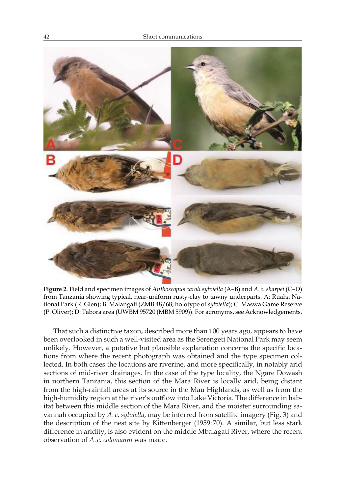

**Figure 2**. Field and specimen images of *Anthoscopus caroli sylviella* (A–B) and *A. c. sharpei* (C–D) from Tanzania showing typical, near-uniform rusty-clay to tawny underparts. A: Ruaha National Park (R. Glen); B: Malangali (ZMB 48/68; holotype of *sylviella*); C: Maswa Game Reserve (P. Oliver); D: Tabora area (UWBM 95720 (MBM 5909)). For acronyms, see Acknowledgements.

That such a distinctive taxon, described more than 100 years ago, appears to have been overlooked in such a well-visited area as the Serengeti National Park may seem unlikely. However, a putative but plausible explanation concerns the specific locations from where the recent photograph was obtained and the type specimen collected. In both cases the locations are riverine, and more specifically, in notably arid sections of mid-river drainages. In the case of the type locality, the Ngare Dowash in northern Tanzania, this section of the Mara River is locally arid, being distant from the high-rainfall areas at its source in the Mau Highlands, as well as from the high-humidity region at the river's outflow into Lake Victoria. The difference in habitat between this middle section of the Mara River, and the moister surrounding savannah occupied by *A. c. sylviella*, may be inferred from satellite imagery (Fig. 3) and the description of the nest site by Kittenberger (1959:70). A similar, but less stark difference in aridity, is also evident on the middle Mbalagati River, where the recent observation of *A. c. colomanni* was made.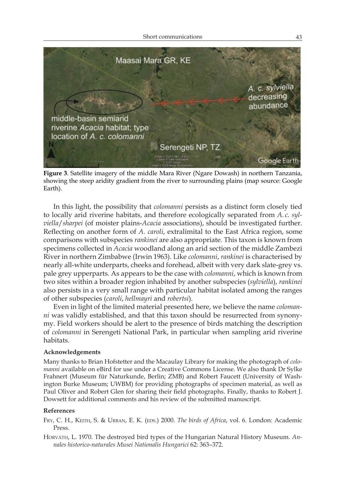

**Figure 3**. Satellite imagery of the middle Mara River (Ngare Dowash) in northern Tanzania, showing the steep aridity gradient from the river to surrounding plains (map source: Google Earth).

In this light, the possibility that *colomanni* persists as a distinct form closely tied to locally arid riverine habitats, and therefore ecologically separated from *A. c. sylviella*/*sharpei* (of moister plains-*Acacia* associations), should be investigated further. Reflecting on another form of *A. caroli*, extralimital to the East Africa region, some comparisons with subspecies *rankinei* are also appropriate. This taxon is known from specimens collected in *Acacia* woodland along an arid section of the middle Zambezi River in northern Zimbabwe (Irwin 1963). Like *colomanni*, *rankinei* is characterised by nearly all-white underparts, cheeks and forehead, albeit with very dark slate-grey vs. pale grey upperparts. As appears to be the case with *colomanni*, which is known from two sites within a broader region inhabited by another subspecies (*sylviella*), *rankinei* also persists in a very small range with particular habitat isolated among the ranges of other subspecies (*caroli*, *hellmayri* and *robertsi*).

Even in light of the limited material presented here, we believe the name *colomanni* was validly established, and that this taxon should be resurrected from synonymy. Field workers should be alert to the presence of birds matching the description of *colomanni* in Serengeti National Park, in particular when sampling arid riverine habitats.

## **Acknowledgements**

Many thanks to Brian Hofstetter and the Macaulay Library for making the photograph of *colomanni* available on eBird for use under a Creative Commons License. We also thank Dr Sylke Frahnert (Museum für Naturkunde, Berlin; ZMB) and Robert Faucett (University of Washington Burke Museum; UWBM) for providing photographs of specimen material, as well as Paul Oliver and Robert Glen for sharing their field photographs. Finally, thanks to Robert J. Dowsett for additional comments and his review of the submitted manuscript.

#### **References**

- FRY, C. H., KEITH, S. & URBAN, E. K. (EDS.) 2000. *The birds of Africa*, vol. 6. London: Academic Press.
- Horváth, L. 1970. The destroyed bird types of the Hungarian Natural History Museum. *Annales historico-naturales Musei Nationalis Hungarici* 62: 363–372.